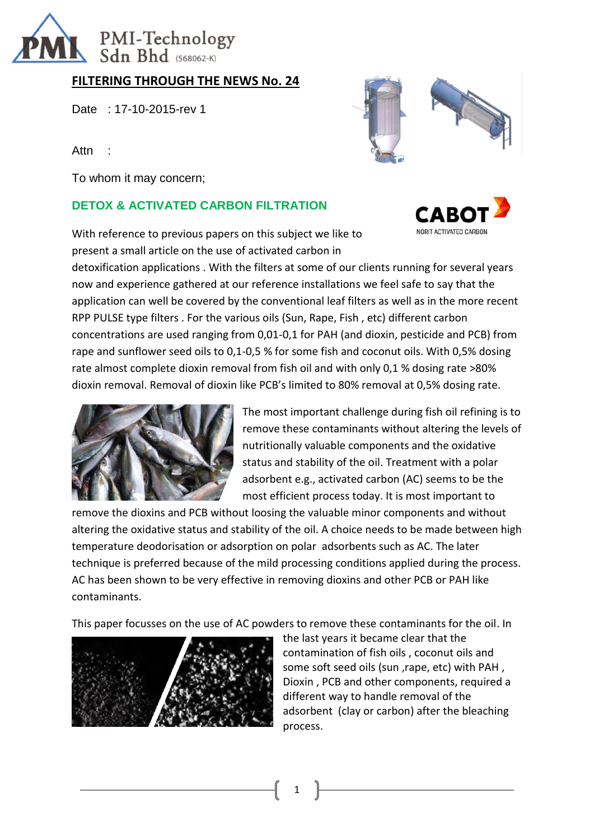

## **FILTERING THROUGH THE NEWS No. 24**

Date : 17-10-2015-rev 1

Attn :

To whom it may concern;

### **DETOX & ACTIVATED CARBON FILTRATION**



NORIT ACTIVATED CARBON

With reference to previous papers on this subject we like to present a small article on the use of activated carbon in

detoxification applications . With the filters at some of our clients running for several years now and experience gathered at our reference installations we feel safe to say that the application can well be covered by the conventional leaf filters as well as in the more recent RPP PULSE type filters . For the various oils (Sun, Rape, Fish , etc) different carbon concentrations are used ranging from 0,01-0,1 for PAH (and dioxin, pesticide and PCB) from rape and sunflower seed oils to 0,1-0,5 % for some fish and coconut oils. With 0,5% dosing rate almost complete dioxin removal from fish oil and with only 0,1 % dosing rate >80% dioxin removal. Removal of dioxin like PCB's limited to 80% removal at 0,5% dosing rate.



The most important challenge during fish oil refining is to remove these contaminants without altering the levels of nutritionally valuable components and the oxidative status and stability of the oil. Treatment with a polar adsorbent e.g., activated carbon (AC) seems to be the most efficient process today. It is most important to

remove the dioxins and PCB without loosing the valuable minor components and without altering the oxidative status and stability of the oil. A choice needs to be made between high temperature deodorisation or adsorption on polar adsorbents such as AC. The later technique is preferred because of the mild processing conditions applied during the process. AC has been shown to be very effective in removing dioxins and other PCB or PAH like contaminants.

This paper focusses on the use of AC powders to remove these contaminants for the oil. In



the last years it became clear that the contamination of fish oils , coconut oils and some soft seed oils (sun ,rape, etc) with PAH , Dioxin , PCB and other components, required a different way to handle removal of the adsorbent (clay or carbon) after the bleaching process.

1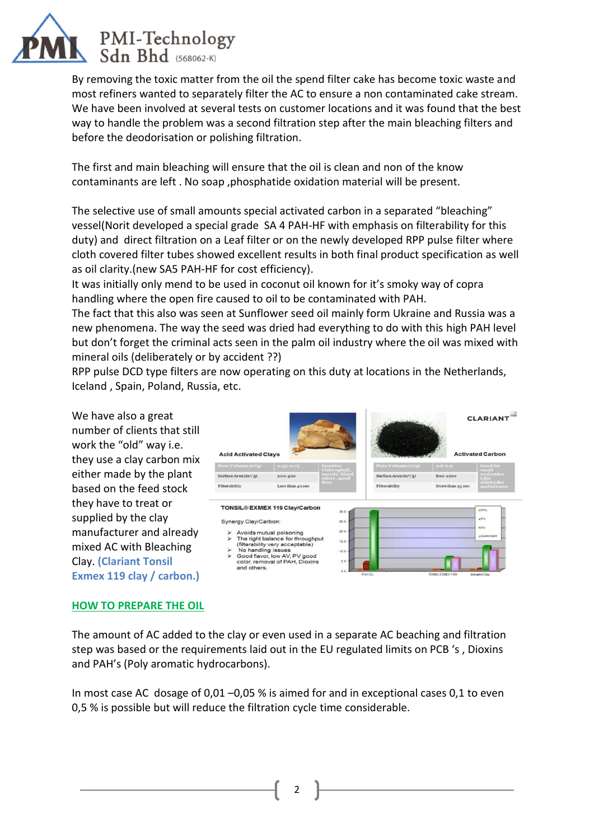

By removing the toxic matter from the oil the spend filter cake has become toxic waste and most refiners wanted to separately filter the AC to ensure a non contaminated cake stream. We have been involved at several tests on customer locations and it was found that the best way to handle the problem was a second filtration step after the main bleaching filters and before the deodorisation or polishing filtration.

The first and main bleaching will ensure that the oil is clean and non of the know contaminants are left . No soap ,phosphatide oxidation material will be present.

The selective use of small amounts special activated carbon in a separated "bleaching" vessel(Norit developed a special grade SA 4 PAH-HF with emphasis on filterability for this duty) and direct filtration on a Leaf filter or on the newly developed RPP pulse filter where cloth covered filter tubes showed excellent results in both final product specification as well as oil clarity.(new SA5 PAH-HF for cost efficiency).

It was initially only mend to be used in coconut oil known for it's smoky way of copra handling where the open fire caused to oil to be contaminated with PAH.

The fact that this also was seen at Sunflower seed oil mainly form Ukraine and Russia was a new phenomena. The way the seed was dried had everything to do with this high PAH level but don't forget the criminal acts seen in the palm oil industry where the oil was mixed with mineral oils (deliberately or by accident ??)

RPP pulse DCD type filters are now operating on this duty at locations in the Netherlands, Iceland , Spain, Poland, Russia, etc.

We have also a great number of clients that still work the "old" way i.e. they use a clay carbon mix either made by the plant based on the feed stock they have to treat or supplied by the clay manufacturer and already mixed AC with Bleaching Clay. **(Clariant Tonsil Exmex 119 clay / carbon.)**



#### **HOW TO PREPARE THE OIL**

The amount of AC added to the clay or even used in a separate AC beaching and filtration step was based or the requirements laid out in the EU regulated limits on PCB 's , Dioxins and PAH's (Poly aromatic hydrocarbons).

In most case AC dosage of 0,01 –0,05 % is aimed for and in exceptional cases 0,1 to even 0,5 % is possible but will reduce the filtration cycle time considerable.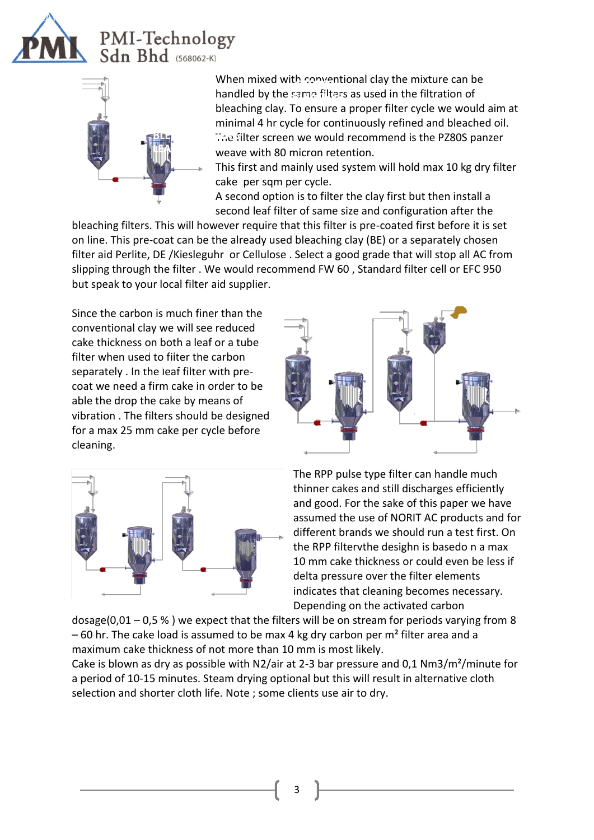

# **PMI-Technology**<br>Sdn Bhd (568062-K)



When mixed with conventional clay the mixture can be handled by the same filters as used in the filtration of **BLEACHER** bleaching clay. To ensure a proper filter cycle we would aim at minimal 4 hr cycle for continuously refined and bleached oil. **The filter screen we would recommend is the PZ80S panzer** weave with 80 micron retention.

weave with somicion retention:<br>This first and mainly used system will hold max 10 kg dry filter cake per sqm per cycle.

A second option is to filter the clay first but then install a second leaf filter of same size and configuration after the

bleaching filters. This will however require that this filter is pre-coated first before it is set on line. This pre-coat can be the already used bleaching clay (BE) or a separately chosen filter aid Perlite, DE /Kiesleguhr or Cellulose . Select a good grade that will stop all AC from slipping through the filter . We would recommend FW 60 , Standard filter cell or EFC 950 but speak to your local filter aid supplier.

Since the carbon is much finer than the conventional clay we will see reduced cake thickness on both a leaf or a tube Filter when used to filter the carbon mean mean about to mean and barbor. coat we need a firm cake in order to be able the drop the cake by means of vibration . The filters should be designed for a max 25 mm cake per cycle before cleaning.





The RPP pulse type filter can handle much thinner cakes and still discharges efficiently and good. For the sake of this paper we have assumed the use of NORIT AC products and for different brands we should run a test first. On the RPP filtervthe desighn is basedo n a max 10 mm cake thickness or could even be less if delta pressure over the filter elements indicates that cleaning becomes necessary. Depending on the activated carbon

dosage( $0.01 - 0.5$ %) we expect that the filters will be on stream for periods varying from 8  $-60$  hr. The cake load is assumed to be max 4 kg dry carbon per m<sup>2</sup> filter area and a maximum cake thickness of not more than 10 mm is most likely.

Cake is blown as dry as possible with N2/air at 2-3 bar pressure and 0,1 Nm3/m²/minute for a period of 10-15 minutes. Steam drying optional but this will result in alternative cloth selection and shorter cloth life. Note ; some clients use air to dry.

3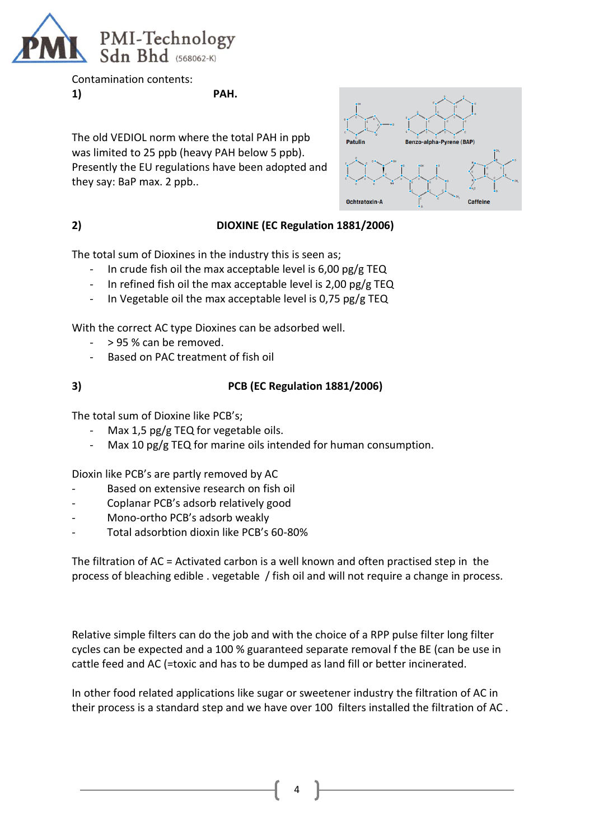

Contamination contents: **1) PAH.**

The old VEDIOL norm where the total PAH in ppb was limited to 25 ppb (heavy PAH below 5 ppb). Presently the EU regulations have been adopted and they say: BaP max. 2 ppb..



### **2) DIOXINE (EC Regulation 1881/2006)**

The total sum of Dioxines in the industry this is seen as;

- In crude fish oil the max acceptable level is  $6,00$  pg/g TEQ
- In refined fish oil the max acceptable level is  $2,00$  pg/g TEQ
- In Vegetable oil the max acceptable level is 0,75 pg/g TEQ

With the correct AC type Dioxines can be adsorbed well.

- > 95 % can be removed.
- Based on PAC treatment of fish oil

### **3) PCB (EC Regulation 1881/2006)**

The total sum of Dioxine like PCB's;

- Max 1,5 pg/g TEQ for vegetable oils.
- Max 10 pg/g TEQ for marine oils intended for human consumption.

Dioxin like PCB's are partly removed by AC

- Based on extensive research on fish oil
- Coplanar PCB's adsorb relatively good
- Mono-ortho PCB's adsorb weakly
- Total adsorbtion dioxin like PCB's 60-80%

The filtration of AC = Activated carbon is a well known and often practised step in the process of bleaching edible . vegetable / fish oil and will not require a change in process.

Relative simple filters can do the job and with the choice of a RPP pulse filter long filter cycles can be expected and a 100 % guaranteed separate removal f the BE (can be use in cattle feed and AC (=toxic and has to be dumped as land fill or better incinerated.

In other food related applications like sugar or sweetener industry the filtration of AC in their process is a standard step and we have over 100 filters installed the filtration of AC .